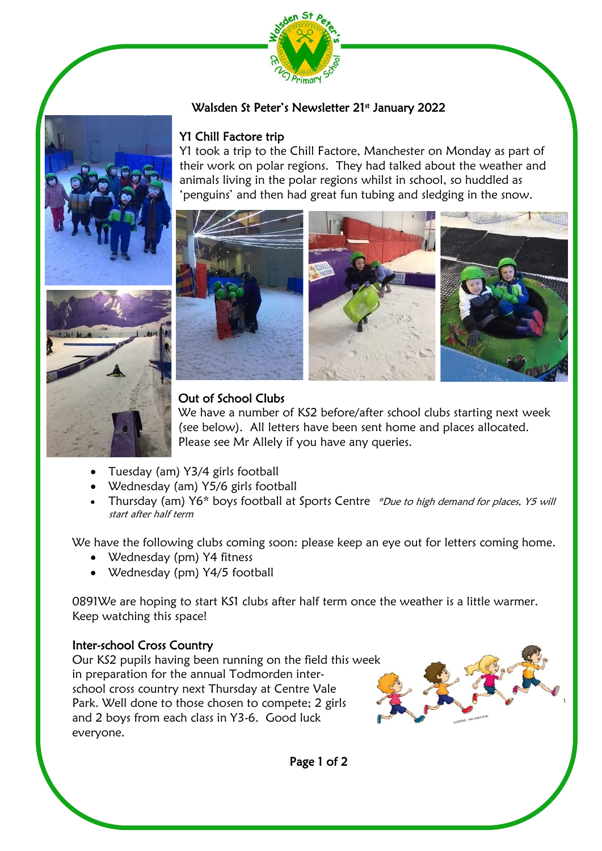

### Walsden St Peter's Newsletter 21st January 2022

#### Y1 Chill Factore trip

Y1 took a trip to the Chill Factore, Manchester on Monday as part of their work on polar regions. They had talked about the weather and animals living in the polar regions whilst in school, so huddled as 'penguins' and then had great fun tubing and sledging in the snow.



#### Out of School Clubs

We have a number of KS2 before/after school clubs starting next week (see below). All letters have been sent home and places allocated. Please see Mr Allely if you have any queries.

- Tuesday (am) Y3/4 girls football
- Wednesday (am) Y5/6 girls football
- Thursday (am) Y6\* boys football at Sports Centre \*Due to high demand for places, Y5 will start after half term

We have the following clubs coming soon: please keep an eye out for letters coming home.

- Wednesday (pm) Y4 fitness
- Wednesday (pm) Y4/5 football

0891We are hoping to start KS1 clubs after half term once the weather is a little warmer. Keep watching this space!

### Inter-school Cross Country

Our KS2 pupils having been running on the field this week in preparation for the annual Todmorden interschool cross country next Thursday at Centre Vale Park. Well done to those chosen to compete; 2 girls and 2 boys from each class in Y3-6. Good luck everyone.

Page 1 of 2